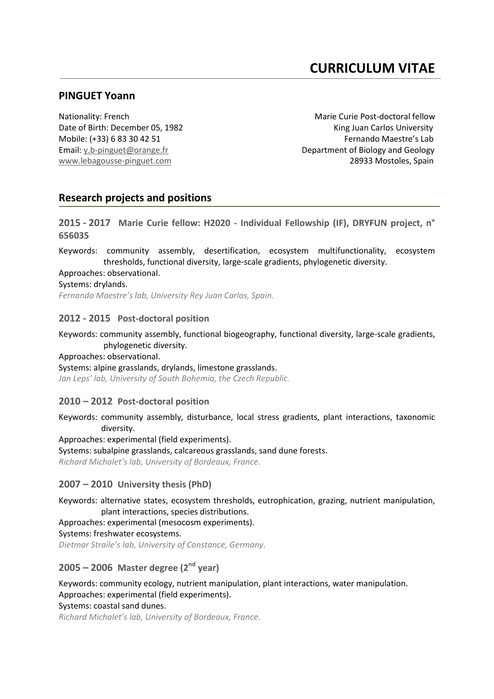# **CURRICULUM VITAE**

# **PINGUET Yoann**

Nationality: French Marie Curie Post-doctoral fellow Date of Birth: December 05, 1982 King Juan Carlos University Mobile: (+33) 6 83 30 42 51 Fernando Maestre's Lab Email: [y.b-pinguet@orange.fr](mailto:y.b-pinguet@orange.fr) Department of Biology and Geology [www.lebagousse-pinguet.com](http://www.lebagousse-pinguet.com/) **28933 Mostoles**, Spain

# **Research projects and positions**

**2015 - 2017 Marie Curie fellow: H2020 - Individual Fellowship (IF), DRYFUN project, n° 656035**

Keywords: community assembly, desertification, ecosystem multifunctionality, ecosystem thresholds, functional diversity, large-scale gradients, phylogenetic diversity.

Approaches: observational.

Systems: drylands.

*Fernando Maestre's lab, University Rey Juan Carlos, Spain.*

# **2012 - 2015 Post-doctoral position**

Keywords: community assembly, functional biogeography, functional diversity, large-scale gradients, phylogenetic diversity.

#### Approaches: observational.

Systems: alpine grasslands, drylands, limestone grasslands. *Jan Leps' lab, University of South Bohemia, the Czech Republic.*

# **2010 – 2012 Post-doctoral position**

Keywords: community assembly, disturbance, local stress gradients, plant interactions, taxonomic diversity.

Approaches: experimental (field experiments).

Systems: subalpine grasslands, calcareous grasslands, sand dune forests. *Richard Michalet's lab, University of Bordeaux, France*.

# **2007 – 2010 University thesis (PhD)**

Keywords: alternative states, ecosystem thresholds, eutrophication, grazing, nutrient manipulation, plant interactions, species distributions.

Approaches: experimental (mesocosm experiments).

Systems: freshwater ecosystems.

*Dietmar Straile's lab, University of Constance, Germany*.

# **2005 – 2006 Master degree (2nd year)**

Keywords: community ecology, nutrient manipulation, plant interactions, water manipulation. Approaches: experimental (field experiments).

Systems: coastal sand dunes.

*Richard Michalet's lab, University of Bordeaux, France*.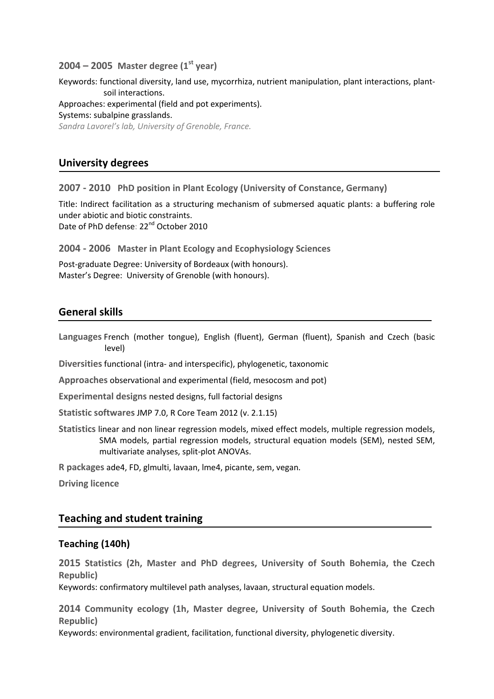#### **2004 – 2005 Master degree (1st year)**

Keywords: functional diversity, land use, mycorrhiza, nutrient manipulation, plant interactions, plantsoil interactions. Approaches: experimental (field and pot experiments). Systems: subalpine grasslands. *Sandra Lavorel's lab, University of Grenoble, France.*

# **University degrees**

**2007 - 2010 PhD position in Plant Ecology (University of Constance, Germany)**

Title: Indirect facilitation as a structuring mechanism of submersed aquatic plants: a buffering role under abiotic and biotic constraints. Date of PhD defense: 22<sup>nd</sup> October 2010

**2004 - 2006 Master in Plant Ecology and Ecophysiology Sciences**

Post-graduate Degree: University of Bordeaux (with honours). Master's Degree: University of Grenoble (with honours).

# **General skills**

**Languages** French (mother tongue), English (fluent), German (fluent), Spanish and Czech (basic level)

**Diversities** functional (intra- and interspecific), phylogenetic, taxonomic

**Approaches** observational and experimental (field, mesocosm and pot)

**Experimental designs** nested designs, full factorial designs

**Statistic softwares** JMP 7.0, R Core Team 2012 (v. 2.1.15)

**Statistics** linear and non linear regression models, mixed effect models, multiple regression models, SMA models, partial regression models, structural equation models (SEM), nested SEM, multivariate analyses, split-plot ANOVAs.

**R packages** ade4, FD, glmulti, lavaan, lme4, picante, sem, vegan.

**Driving licence**

# **Teaching and student training**

# **Teaching (140h)**

**2015 Statistics (2h, Master and PhD degrees, University of South Bohemia, the Czech Republic)**

Keywords: confirmatory multilevel path analyses, lavaan, structural equation models.

**2014 Community ecology (1h, Master degree, University of South Bohemia, the Czech Republic)**

Keywords: environmental gradient, facilitation, functional diversity, phylogenetic diversity.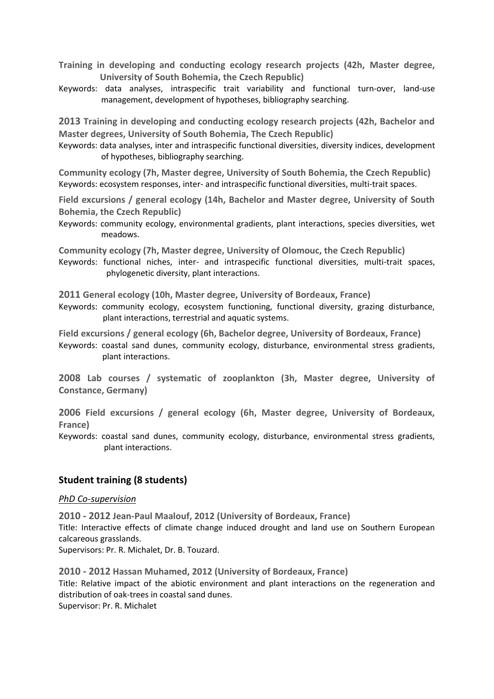- **Training in developing and conducting ecology research projects (42h, Master degree, University of South Bohemia, the Czech Republic)**
- Keywords: data analyses, intraspecific trait variability and functional turn-over, land-use management, development of hypotheses, bibliography searching.

**2013 Training in developing and conducting ecology research projects (42h, Bachelor and Master degrees, University of South Bohemia, The Czech Republic)**

Keywords: data analyses, inter and intraspecific functional diversities, diversity indices, development of hypotheses, bibliography searching.

**Community ecology (7h, Master degree, University of South Bohemia, the Czech Republic)** Keywords: ecosystem responses, inter- and intraspecific functional diversities, multi-trait spaces.

**Field excursions / general ecology (14h, Bachelor and Master degree, University of South Bohemia, the Czech Republic)**

Keywords: community ecology, environmental gradients, plant interactions, species diversities, wet meadows.

**Community ecology (7h, Master degree, University of Olomouc, the Czech Republic)** Keywords: functional niches, inter- and intraspecific functional diversities, multi-trait spaces, phylogenetic diversity, plant interactions.

**2011 General ecology (10h, Master degree, University of Bordeaux, France)**

Keywords: community ecology, ecosystem functioning, functional diversity, grazing disturbance, plant interactions, terrestrial and aquatic systems.

**Field excursions / general ecology (6h, Bachelor degree, University of Bordeaux, France)** Keywords: coastal sand dunes, community ecology, disturbance, environmental stress gradients, plant interactions.

**2008 Lab courses / systematic of zooplankton (3h, Master degree, University of Constance, Germany)**

**2006 Field excursions / general ecology (6h, Master degree, University of Bordeaux, France)**

Keywords: coastal sand dunes, community ecology, disturbance, environmental stress gradients, plant interactions.

# **Student training (8 students)**

#### *PhD Co-supervision*

**2010 - 2012 Jean-Paul Maalouf, 2012 (University of Bordeaux, France)**

Title: Interactive effects of climate change induced drought and land use on Southern European calcareous grasslands.

Supervisors: Pr. R. Michalet, Dr. B. Touzard.

**2010 - 2012 Hassan Muhamed, 2012 (University of Bordeaux, France)** Title: Relative impact of the abiotic environment and plant interactions on the regeneration and distribution of oak-trees in coastal sand dunes. Supervisor: Pr. R. Michalet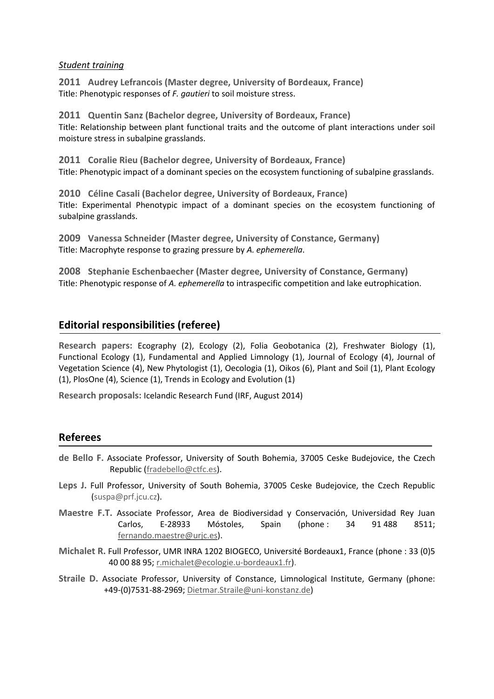#### *Student training*

**2011 Audrey Lefrancois (Master degree, University of Bordeaux, France)** Title: Phenotypic responses of *F. gautieri* to soil moisture stress.

**2011 Quentin Sanz (Bachelor degree, University of Bordeaux, France)** Title: Relationship between plant functional traits and the outcome of plant interactions under soil moisture stress in subalpine grasslands.

**2011 Coralie Rieu (Bachelor degree, University of Bordeaux, France)** Title: Phenotypic impact of a dominant species on the ecosystem functioning of subalpine grasslands.

**2010 Céline Casali (Bachelor degree, University of Bordeaux, France)** Title: Experimental Phenotypic impact of a dominant species on the ecosystem functioning of subalpine grasslands.

**2009 Vanessa Schneider (Master degree, University of Constance, Germany)** Title: Macrophyte response to grazing pressure by *A. ephemerella*.

**2008 Stephanie Eschenbaecher (Master degree, University of Constance, Germany)** Title: Phenotypic response of *A. ephemerella* to intraspecific competition and lake eutrophication.

# **Editorial responsibilities (referee)**

**Research papers:** Ecography (2), Ecology (2), Folia Geobotanica (2), Freshwater Biology (1), Functional Ecology (1), Fundamental and Applied Limnology (1), Journal of Ecology (4), Journal of Vegetation Science (4), New Phytologist (1), Oecologia (1), Oikos (6), Plant and Soil (1), Plant Ecology (1), PlosOne (4), Science (1), Trends in Ecology and Evolution (1)

**Research proposals:** Icelandic Research Fund (IRF, August 2014)

# **Referees**

- **de Bello F.** Associate Professor, University of South Bohemia, 37005 Ceske Budejovice, the Czech Republic [\(fradebello@ctfc.es\)](http://webmail1h.orange.fr/webmail/fr_FR/read.html?FOLDER=SF_INBOX&IDMSG=25257&check=&SORTBY=1).
- **Leps J.** Full Professor, University of South Bohemia, 37005 Ceske Budejovice, the Czech Republic (suspa@prf.jcu.cz).
- **Maestre F.T.** Associate Professor, Area de Biodiversidad y Conservación, Universidad Rey Juan Carlos, E-28933 Móstoles, Spain (phone : 34 91 488 8511; [fernando.maestre@urjc.es\)](mailto:fernando.maestre@urjc.es).
- **Michalet R.** Full Professor, UMR INRA 1202 BIOGECO, Université Bordeaux1, France (phone : 33 (0)5 40 00 88 95[; r.michalet@ecologie.u-bordeaux1.fr\)](mailto:r.michalet@ecologie.u-bordeaux1.fr).
- **Straile D.** Associate Professor, University of Constance, Limnological Institute, Germany (phone: +49-(0)7531-88-2969; [Dietmar.Straile@uni-konstanz.de\)](mailto:Dietmar.Straile@uni-konstanz.de)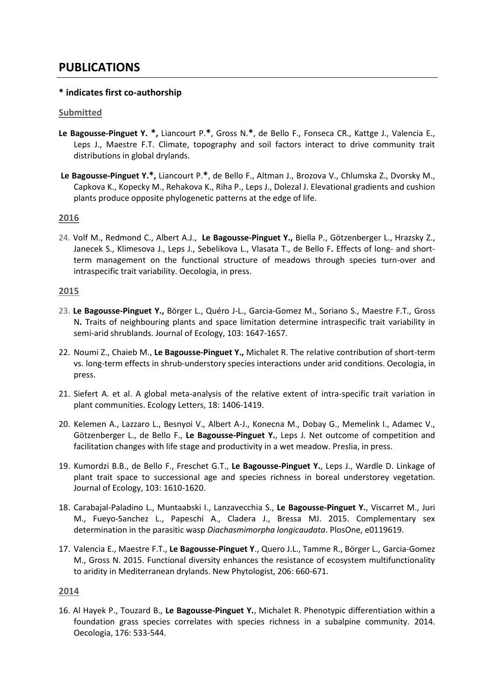# **PUBLICATIONS**

# **\* indicates first co-authorship**

#### **Submitted**

- **Le Bagousse-Pinguet Y. \*,** Liancourt P.**\***, Gross N.**\***, de Bello F., Fonseca CR., Kattge J., Valencia E., Leps J., Maestre F.T. Climate, topography and soil factors interact to drive community trait distributions in global drylands.
- **Le Bagousse-Pinguet Y.\*,** Liancourt P.**\***, de Bello F., Altman J., Brozova V., Chlumska Z., Dvorsky M., Capkova K., Kopecky M., Rehakova K., Riha P., Leps J., Dolezal J. Elevational gradients and cushion plants produce opposite phylogenetic patterns at the edge of life.

#### **2016**

24. Volf M., Redmond C., Albert A.J., **Le Bagousse-Pinguet Y.,** Biella P., Götzenberger L., Hrazsky Z., Janecek S., Klimesova J., Leps J., Sebelikova L., Vlasata T., de Bello F**.** Effects of long- and shortterm management on the functional structure of meadows through species turn-over and intraspecific trait variability. Oecologia, in press.

#### **2015**

- 23. **Le Bagousse-Pinguet Y.,** Börger L., Quéro J-L., Garcia-Gomez M., Soriano S., Maestre F.T., Gross N**.** Traits of neighbouring plants and space limitation determine intraspecific trait variability in semi-arid shrublands. Journal of Ecology, 103: 1647-1657.
- 22. Noumi Z., Chaieb M., **Le Bagousse-Pinguet Y.,** Michalet R. The relative contribution of short-term vs. long-term effects in shrub-understory species interactions under arid conditions. Oecologia, in press.
- 21. Siefert A. et al. A global meta-analysis of the relative extent of intra-specific trait variation in plant communities. Ecology Letters, 18: 1406-1419.
- 20. Kelemen A., Lazzaro L., Besnyoi V., Albert A-J., Konecna M., Dobay G., Memelink I., Adamec V., Götzenberger L., de Bello F., **Le Bagousse-Pinguet Y.**, Leps J. Net outcome of competition and facilitation changes with life stage and productivity in a wet meadow. Preslia, in press.
- 19. Kumordzi B.B., de Bello F., Freschet G.T., **Le Bagousse-Pinguet Y.**, Leps J., Wardle D. Linkage of plant trait space to successional age and species richness in boreal understorey vegetation. Journal of Ecology, 103: 1610-1620.
- 18. Carabajal-Paladino L., Muntaabski I., Lanzavecchia S., **Le Bagousse-Pinguet Y.**, Viscarret M., Juri M., Fueyo-Sanchez L., Papeschi A., Cladera J., Bressa MJ. 2015. Complementary sex determination in the parasitic wasp *Diachasmimorpha longicaudata*. PlosOne, e0119619.
- 17. Valencia E., Maestre F.T., **Le Bagousse-Pinguet Y**., Quero J.L., Tamme R., Börger L., Garcia-Gomez M., Gross N. 2015. Functional diversity enhances the resistance of ecosystem multifunctionality to aridity in Mediterranean drylands. New Phytologist, 206: 660-671.

#### **2014**

16. Al Hayek P., Touzard B., **Le Bagousse-Pinguet Y.**, Michalet R. Phenotypic differentiation within a foundation grass species correlates with species richness in a subalpine community. 2014. Oecologia, 176: 533-544.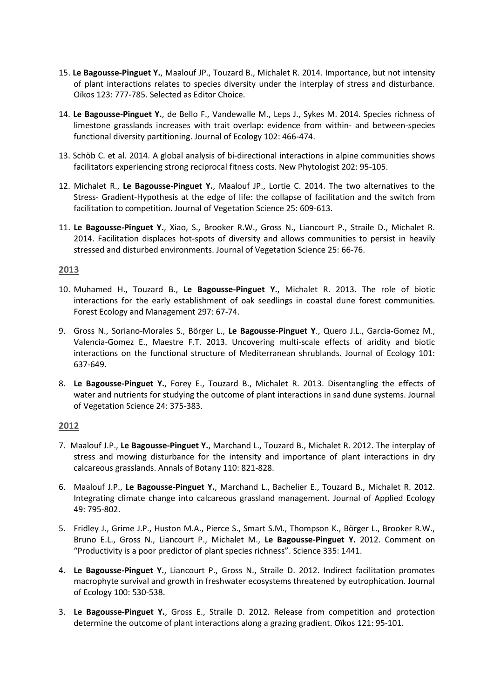- 15. **Le Bagousse-Pinguet Y.**, Maalouf JP., Touzard B., Michalet R. 2014. Importance, but not intensity of plant interactions relates to species diversity under the interplay of stress and disturbance. Oïkos 123: 777-785. Selected as Editor Choice.
- 14. **Le Bagousse-Pinguet Y.**, de Bello F., Vandewalle M., Leps J., Sykes M. 2014. Species richness of limestone grasslands increases with trait overlap: evidence from within- and between-species functional diversity partitioning. Journal of Ecology 102: 466-474.
- 13. Schöb C. et al. 2014. A global analysis of bi-directional interactions in alpine communities shows facilitators experiencing strong reciprocal fitness costs. New Phytologist 202: 95-105.
- 12. Michalet R., **Le Bagousse-Pinguet Y.**, Maalouf JP., Lortie C. 2014. The two alternatives to the Stress- Gradient-Hypothesis at the edge of life: the collapse of facilitation and the switch from facilitation to competition. Journal of Vegetation Science 25: 609-613.
- 11. **Le Bagousse-Pinguet Y.**, Xiao, S., Brooker R.W., Gross N., Liancourt P., Straile D., Michalet R. 2014. Facilitation displaces hot-spots of diversity and allows communities to persist in heavily stressed and disturbed environments. Journal of Vegetation Science 25: 66-76.

#### **2013**

- 10. Muhamed H., Touzard B., **Le Bagousse-Pinguet Y.**, Michalet R. 2013. The role of biotic interactions for the early establishment of oak seedlings in coastal dune forest communities. Forest Ecology and Management 297: 67-74.
- 9. Gross N., Soriano-Morales S., Börger L., **Le Bagousse-Pinguet Y**., Quero J.L., Garcia-Gomez M., Valencia-Gomez E., Maestre F.T. 2013. Uncovering multi-scale effects of aridity and biotic interactions on the functional structure of Mediterranean shrublands. Journal of Ecology 101: 637-649.
- 8. **Le Bagousse-Pinguet Y.**, Forey E., Touzard B., Michalet R. 2013. Disentangling the effects of water and nutrients for studying the outcome of plant interactions in sand dune systems. Journal of Vegetation Science 24: 375-383.

# **2012**

- 7. Maalouf J.P., **Le Bagousse-Pinguet Y.**, Marchand L., Touzard B., Michalet R. 2012. The interplay of stress and mowing disturbance for the intensity and importance of plant interactions in dry calcareous grasslands. Annals of Botany 110: 821-828.
- 6. Maalouf J.P., **Le Bagousse-Pinguet Y.**, Marchand L., Bachelier E., Touzard B., Michalet R. 2012. Integrating climate change into calcareous grassland management. Journal of Applied Ecology 49: 795-802.
- 5. Fridley J., Grime J.P., Huston M.A., Pierce S., Smart S.M., Thompson K., Börger L., Brooker R.W., Bruno E.L., Gross N., Liancourt P., Michalet M., **Le Bagousse-Pinguet Y.** 2012. Comment on "Productivity is a poor predictor of plant species richness". Science 335: 1441.
- 4. **Le Bagousse-Pinguet Y.**, Liancourt P., Gross N., Straile D. 2012. Indirect facilitation promotes macrophyte survival and growth in freshwater ecosystems threatened by eutrophication. Journal of Ecology 100: 530-538.
- 3. **Le Bagousse-Pinguet Y.**, Gross E., Straile D. 2012. Release from competition and protection determine the outcome of plant interactions along a grazing gradient. Oïkos 121: 95-101.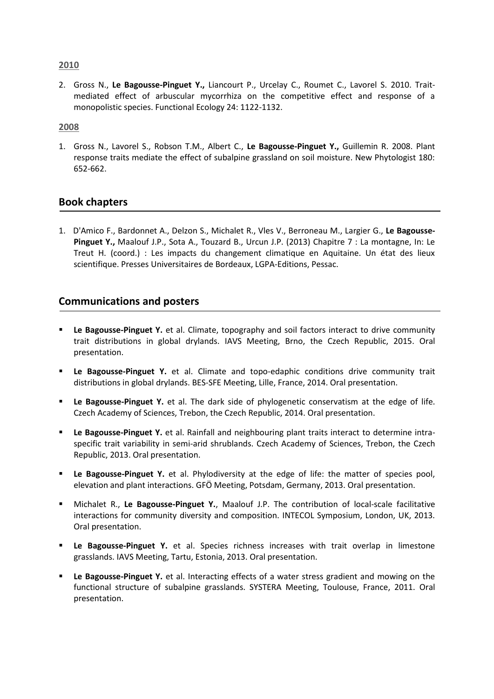#### **2010**

2. Gross N., **Le Bagousse-Pinguet Y.,** Liancourt P., Urcelay C., Roumet C., Lavorel S. 2010. Traitmediated effect of arbuscular mycorrhiza on the competitive effect and response of a monopolistic species. Functional Ecology 24: 1122-1132.

#### **2008**

1. Gross N., Lavorel S., Robson T.M., Albert C., **Le Bagousse-Pinguet Y.,** Guillemin R. 2008. Plant response traits mediate the effect of subalpine grassland on soil moisture. New Phytologist 180: 652-662.

# **Book chapters**

1. D'Amico F., Bardonnet A., Delzon S., Michalet R., Vles V., Berroneau M., Largier G., **Le Bagousse-Pinguet Y.,** Maalouf J.P., Sota A., Touzard B., Urcun J.P. (2013) Chapitre 7 : La montagne, In: Le Treut H. (coord.) : Les impacts du changement climatique en Aquitaine. Un état des lieux scientifique. Presses Universitaires de Bordeaux, LGPA-Editions, Pessac.

# **Communications and posters**

- **Le Bagousse-Pinguet Y.** et al. Climate, topography and soil factors interact to drive community trait distributions in global drylands. IAVS Meeting, Brno, the Czech Republic, 2015. Oral presentation.
- **Le Bagousse-Pinguet Y.** et al. Climate and topo-edaphic conditions drive community trait distributions in global drylands. BES-SFE Meeting, Lille, France, 2014. Oral presentation.
- **Le Bagousse-Pinguet Y.** et al. The dark side of phylogenetic conservatism at the edge of life. Czech Academy of Sciences, Trebon, the Czech Republic, 2014. Oral presentation.
- **Le Bagousse-Pinguet Y.** et al. Rainfall and neighbouring plant traits interact to determine intraspecific trait variability in semi-arid shrublands. Czech Academy of Sciences, Trebon, the Czech Republic, 2013. Oral presentation.
- **Le Bagousse-Pinguet Y.** et al. Phylodiversity at the edge of life: the matter of species pool, elevation and plant interactions. GFÖ Meeting, Potsdam, Germany, 2013. Oral presentation.
- Michalet R., **Le Bagousse-Pinguet Y.**, Maalouf J.P. The contribution of local-scale facilitative interactions for community diversity and composition. INTECOL Symposium, London, UK, 2013. Oral presentation.
- **Le Bagousse-Pinguet Y.** et al. Species richness increases with trait overlap in limestone grasslands. IAVS Meeting, Tartu, Estonia, 2013. Oral presentation.
- **Le Bagousse-Pinguet Y.** et al. Interacting effects of a water stress gradient and mowing on the functional structure of subalpine grasslands. SYSTERA Meeting, Toulouse, France, 2011. Oral presentation.